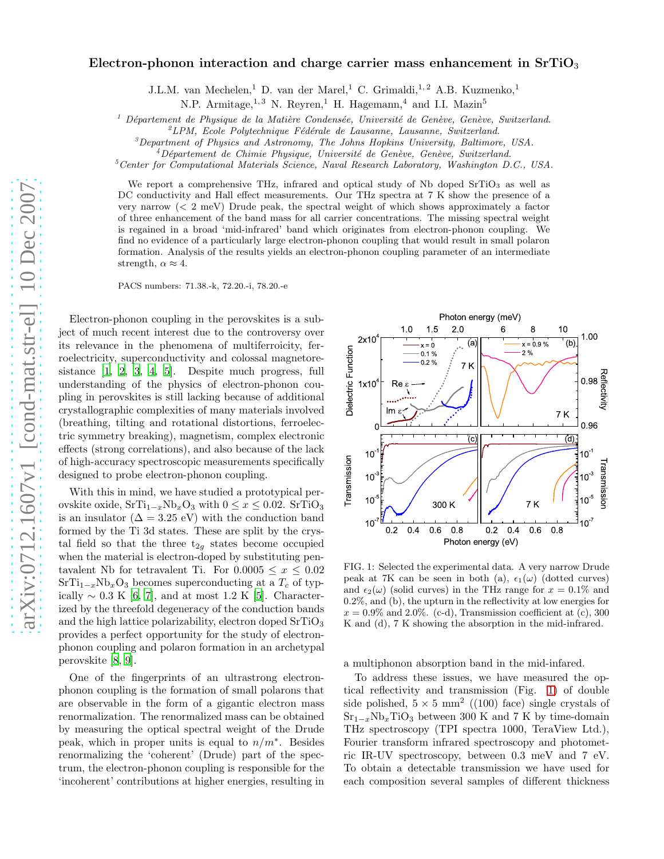## Electron-phonon interaction and charge carrier mass enhancement in  $SrTiO<sub>3</sub>$

J.L.M. van Mechelen,<sup>1</sup> D. van der Marel,<sup>1</sup> C. Grimaldi,<sup>1,2</sup> A.B. Kuzmenko,<sup>1</sup>

N.P. Armitage,  $^{1,3}$  N. Reyren,  $^{1}$  H. Hagemann,  $^{4}$  and I.I. Mazin<sup>5</sup>

<sup>1</sup> Département de Physique de la Matière Condensée, Université de Genève, Genève, Switzerland.

 ${}^{2}LPM$ , Ecole Polytechnique Fédérale de Lausanne, Lausanne, Switzerland.

 ${}^{3}$ Department of Physics and Astronomy, The Johns Hopkins University, Baltimore, USA.

 $^{4}$ Département de Chimie Physique, Université de Genève, Genève, Switzerland.

 $5$ Center for Computational Materials Science, Naval Research Laboratory, Washington D.C., USA.

We report a comprehensive THz, infrared and optical study of Nb doped SrTiO<sub>3</sub> as well as DC conductivity and Hall effect measurements. Our THz spectra at 7 K show the presence of a very narrow (< 2 meV) Drude peak, the spectral weight of which shows approximately a factor of three enhancement of the band mass for all carrier concentrations. The missing spectral weight is regained in a broad 'mid-infrared' band which originates from electron-phonon coupling. We find no evidence of a particularly large electron-phonon coupling that would result in small polaron formation. Analysis of the results yields an electron-phonon coupling parameter of an intermediate strength,  $\alpha \approx 4$ .

PACS numbers: 71.38.-k, 72.20.-i, 78.20.-e

Electron-phonon coupling in the perovskites is a subject of much recent interest due to the controversy over its relevance in the phenomena of multiferroicity, ferroelectricity, superconductivity and colossal magnetoresistance [\[1](#page-3-0), [2](#page-3-1), [3,](#page-3-2) [4,](#page-3-3) [5\]](#page-3-4). Despite much progress, full understanding of the physics of electron-phonon coupling in perovskites is still lacking because of additional crystallographic complexities of many materials involved (breathing, tilting and rotational distortions, ferroelectric symmetry breaking), magnetism, complex electronic effects (strong correlations), and also because of the lack of high-accuracy spectroscopic measurements specifically designed to probe electron-phonon coupling.

With this in mind, we have studied a prototypical perovskite oxide,  $SrTi_{1-x}Nb_xO_3$  with  $0 \le x \le 0.02$ .  $SrTiO_3$ is an insulator  $(\Delta = 3.25 \text{ eV})$  with the conduction band formed by the Ti 3d states. These are split by the crystal field so that the three  $t_{2g}$  states become occupied when the material is electron-doped by substituting pentavalent Nb for tetravalent Ti. For  $0.0005 \le x \le 0.02$  $SrTi_{1-x}Nb_xO_3$  becomes superconducting at a  $T_c$  of typically  $\sim 0.3 \text{ K } [6, 7]$  $\sim 0.3 \text{ K } [6, 7]$  $\sim 0.3 \text{ K } [6, 7]$  $\sim 0.3 \text{ K } [6, 7]$ , and at most 1.2 K [\[5](#page-3-4)]. Characterized by the threefold degeneracy of the conduction bands and the high lattice polarizability, electron doped  $SrTiO<sub>3</sub>$ provides a perfect opportunity for the study of electronphonon coupling and polaron formation in an archetypal perovskite [\[8](#page-3-7), [9\]](#page-3-8).

One of the fingerprints of an ultrastrong electronphonon coupling is the formation of small polarons that are observable in the form of a gigantic electron mass renormalization. The renormalized mass can be obtained by measuring the optical spectral weight of the Drude peak, which in proper units is equal to  $n/m^*$ . Besides renormalizing the 'coherent' (Drude) part of the spectrum, the electron-phonon coupling is responsible for the 'incoherent' contributions at higher energies, resulting in



<span id="page-0-0"></span>FIG. 1: Selected the experimental data. A very narrow Drude peak at 7K can be seen in both (a),  $\epsilon_1(\omega)$  (dotted curves) and  $\epsilon_2(\omega)$  (solid curves) in the THz range for  $x = 0.1\%$  and 0.2%, and (b), the upturn in the reflectivity at low energies for  $x = 0.9\%$  and 2.0%. (c-d), Transmission coefficient at (c), 300 K and (d), 7 K showing the absorption in the mid-infrared.

a multiphonon absorption band in the mid-infared.

To address these issues, we have measured the optical reflectivity and transmission (Fig. [1\)](#page-0-0) of double side polished,  $5 \times 5$  mm<sup>2</sup> ((100) face) single crystals of  $Sr_{1-x}Nb_xTiO_3$  between 300 K and 7 K by time-domain THz spectroscopy (TPI spectra 1000, TeraView Ltd.), Fourier transform infrared spectroscopy and photometric IR-UV spectroscopy, between 0.3 meV and 7 eV. To obtain a detectable transmission we have used for each composition several samples of different thickness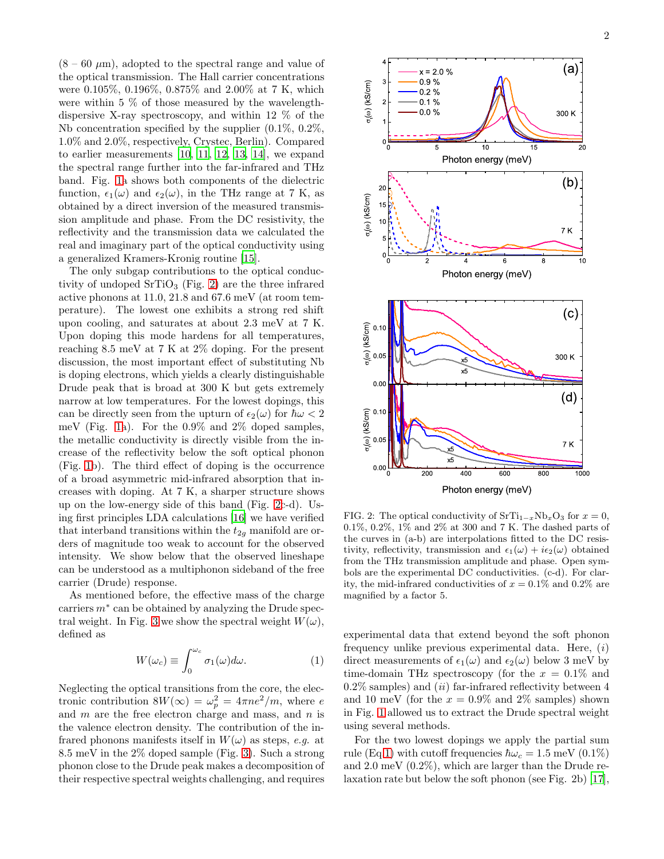$(8 - 60 \mu m)$ , adopted to the spectral range and value of the optical transmission. The Hall carrier concentrations were 0.105%, 0.196%, 0.875% and 2.00% at 7 K, which were within 5 % of those measured by the wavelengthdispersive X-ray spectroscopy, and within 12 % of the Nb concentration specified by the supplier (0.1%, 0.2%, 1.0% and 2.0%, respectively, Crystec, Berlin). Compared to earlier measurements [\[10,](#page-3-9) [11,](#page-3-10) [12,](#page-3-11) [13](#page-3-12), [14\]](#page-3-13), we expand the spectral range further into the far-infrared and THz band. Fig. [1a](#page-0-0) shows both components of the dielectric function,  $\epsilon_1(\omega)$  and  $\epsilon_2(\omega)$ , in the THz range at 7 K, as obtained by a direct inversion of the measured transmission amplitude and phase. From the DC resistivity, the reflectivity and the transmission data we calculated the real and imaginary part of the optical conductivity using a generalized Kramers-Kronig routine [\[15\]](#page-3-14).

The only subgap contributions to the optical conductivity of undoped  $SrTiO<sub>3</sub>$  (Fig. [2\)](#page-1-0) are the three infrared active phonons at 11.0, 21.8 and 67.6 meV (at room temperature). The lowest one exhibits a strong red shift upon cooling, and saturates at about 2.3 meV at 7 K. Upon doping this mode hardens for all temperatures, reaching 8.5 meV at 7 K at 2% doping. For the present discussion, the most important effect of substituting Nb is doping electrons, which yields a clearly distinguishable Drude peak that is broad at 300 K but gets extremely narrow at low temperatures. For the lowest dopings, this can be directly seen from the upturn of  $\epsilon_2(\omega)$  for  $\hbar\omega < 2$ meV (Fig. [1a](#page-0-0)). For the 0.9% and 2% doped samples, the metallic conductivity is directly visible from the increase of the reflectivity below the soft optical phonon (Fig. [1b](#page-0-0)). The third effect of doping is the occurrence of a broad asymmetric mid-infrared absorption that increases with doping. At 7 K, a sharper structure shows up on the low-energy side of this band (Fig. [2c](#page-1-0)-d). Using first principles LDA calculations [\[16](#page-3-15)] we have verified that interband transitions within the  $t_{2g}$  manifold are orders of magnitude too weak to account for the observed intensity. We show below that the observed lineshape can be understood as a multiphonon sideband of the free carrier (Drude) response.

As mentioned before, the effective mass of the charge carriers  $m^*$  can be obtained by analyzing the Drude spec-tral weight. In Fig. [3](#page-2-0) we show the spectral weight  $W(\omega)$ , defined as

<span id="page-1-1"></span>
$$
W(\omega_c) \equiv \int_0^{\omega_c} \sigma_1(\omega) d\omega.
$$
 (1)

Neglecting the optical transitions from the core, the electronic contribution  $8W(\infty) = \omega_p^2 = 4\pi n e^2/m$ , where e and  $m$  are the free electron charge and mass, and  $n$  is the valence electron density. The contribution of the infrared phonons manifests itself in  $W(\omega)$  as steps, e.g. at 8.5 meV in the 2% doped sample (Fig. [3\)](#page-2-0). Such a strong phonon close to the Drude peak makes a decomposition of their respective spectral weights challenging, and requires





<sup>0</sup> <sup>2</sup> <sup>4</sup> <sup>6</sup> <sup>8</sup> <sup>10</sup>

 $\check{ }$ 

 $\Omega$ 

 $\tilde{ }$  $\tilde{}$ <sup>10</sup> <sup>15</sup> <sup>20</sup>

-<sup>3</sup> <sup>4</sup>

(00) (kS/cm)

(00) (kS/cm)

 $x = 2.0 %$  0.9 % 0.2 % 0.1 % 0.0 %

 $\overline{5}$ 

<span id="page-1-0"></span>FIG. 2: The optical conductivity of  $SrTi_{1-x}Nb_xO_3$  for  $x=0$ , 0.1%, 0.2%, 1% and 2% at 300 and 7 K. The dashed parts of the curves in (a-b) are interpolations fitted to the DC resistivity, reflectivity, transmission and  $\epsilon_1(\omega) + i\epsilon_2(\omega)$  obtained from the THz transmission amplitude and phase. Open symbols are the experimental DC conductivities. (c-d). For clarity, the mid-infrared conductivities of  $x = 0.1\%$  and  $0.2\%$  are magnified by a factor 5.

experimental data that extend beyond the soft phonon frequency unlike previous experimental data. Here,  $(i)$ direct measurements of  $\epsilon_1(\omega)$  and  $\epsilon_2(\omega)$  below 3 meV by time-domain THz spectroscopy (for the  $x = 0.1\%$  and  $0.2\%$  samples) and *(ii)* far-infrared reflectivity between 4 and 10 meV (for the  $x = 0.9\%$  and 2\% samples) shown in Fig. [1](#page-0-0) allowed us to extract the Drude spectral weight using several methods.

For the two lowest dopings we apply the partial sum rule (Eq[.1\)](#page-1-1) with cutoff frequencies  $\hbar\omega_c = 1.5 \text{ meV} (0.1\%)$ and 2.0 meV (0.2%), which are larger than the Drude relaxation rate but below the soft phonon (see Fig. 2b) [\[17\]](#page-3-16),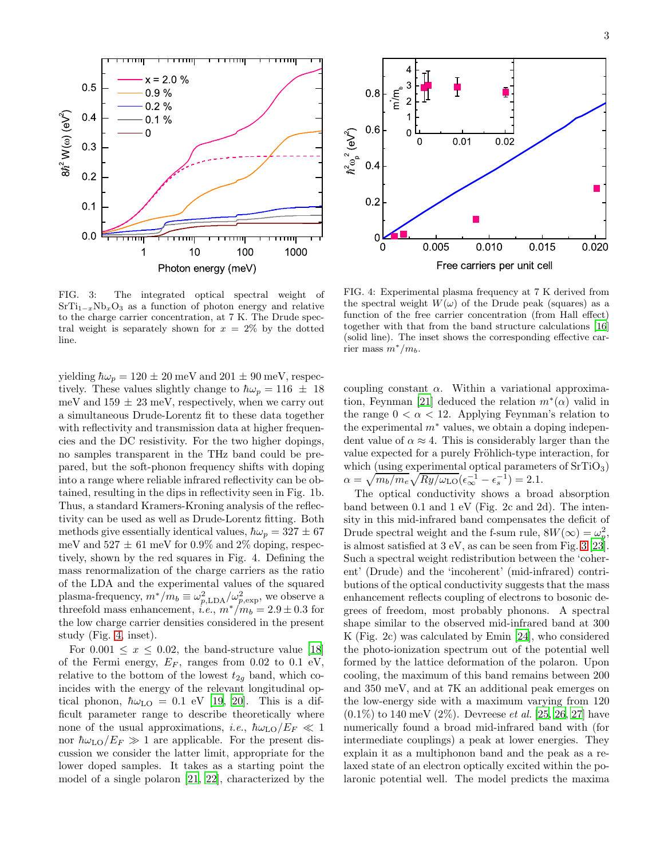

<span id="page-2-0"></span>FIG. 3: The integrated optical spectral weight of  $SrTi_{1-x}Nb_xO_3$  as a function of photon energy and relative to the charge carrier concentration, at 7 K. The Drude spectral weight is separately shown for  $x = 2\%$  by the dotted line.

yielding  $\hbar\omega_p = 120 \pm 20$  meV and  $201 \pm 90$  meV, respectively. These values slightly change to  $\hbar\omega_p = 116 \pm 18$ meV and  $159 \pm 23$  meV, respectively, when we carry out a simultaneous Drude-Lorentz fit to these data together with reflectivity and transmission data at higher frequencies and the DC resistivity. For the two higher dopings, no samples transparent in the THz band could be prepared, but the soft-phonon frequency shifts with doping into a range where reliable infrared reflectivity can be obtained, resulting in the dips in reflectivity seen in Fig. 1b. Thus, a standard Kramers-Kroning analysis of the reflectivity can be used as well as Drude-Lorentz fitting. Both methods give essentially identical values,  $\hbar\omega_p = 327 \pm 67$ meV and  $527 \pm 61$  meV for 0.9% and 2% doping, respectively, shown by the red squares in Fig. 4. Defining the mass renormalization of the charge carriers as the ratio of the LDA and the experimental values of the squared plasma-frequency,  $m^*/m_b \equiv \omega_{p,\text{LDA}}^2/\omega_{p,\text{exp}}^2$ , we observe a threefold mass enhancement, *i.e.*,  $m^*/m_b = 2.9 \pm 0.3$  for the low charge carrier densities considered in the present study (Fig. [4,](#page-2-1) inset).

For  $0.001 \leq x \leq 0.02$ , the band-structure value [\[18](#page-3-17)] of the Fermi energy,  $E_F$ , ranges from 0.02 to 0.1 eV, relative to the bottom of the lowest  $t_{2q}$  band, which coincides with the energy of the relevant longitudinal optical phonon,  $\hbar \omega_{\text{LO}} = 0.1$  eV [\[19](#page-3-18), [20](#page-3-19)]. This is a difficult parameter range to describe theoretically where none of the usual approximations, *i.e.*,  $\hbar\omega_{\text{LO}}/E_F \ll 1$ nor  $\hbar \omega_{LO}/E_F \gg 1$  are applicable. For the present discussion we consider the latter limit, appropriate for the lower doped samples. It takes as a starting point the model of a single polaron [\[21](#page-3-20), [22\]](#page-3-21), characterized by the



<span id="page-2-1"></span>FIG. 4: Experimental plasma frequency at 7 K derived from the spectral weight  $W(\omega)$  of the Drude peak (squares) as a function of the free carrier concentration (from Hall effect) together with that from the band structure calculations [\[16](#page-3-15)] (solid line). The inset shows the corresponding effective carrier mass  $m^*/m_b$ .

coupling constant  $\alpha$ . Within a variational approxima-tion, Feynman [\[21](#page-3-20)] deduced the relation  $m^*(\alpha)$  valid in the range  $0 < \alpha < 12$ . Applying Feynman's relation to the experimental  $m^*$  values, we obtain a doping independent value of  $\alpha \approx 4$ . This is considerably larger than the value expected for a purely Fröhlich-type interaction, for which (using experimental optical parameters of  $SrTiO<sub>3</sub>$ )  $\alpha = \sqrt{m_b/m_e} \sqrt{R_y/\omega_{\rm LO}} (\epsilon_{\infty}^{-1} - \epsilon_s^{-1}) = 2.1.$ 

The optical conductivity shows a broad absorption band between 0.1 and 1 eV (Fig. 2c and 2d). The intensity in this mid-infrared band compensates the deficit of Drude spectral weight and the f-sum rule,  $8W(\infty) = \omega_p^2$ , is almost satisfied at 3 eV, as can be seen from Fig. [3](#page-2-0) [\[23\]](#page-3-22). Such a spectral weight redistribution between the 'coherent' (Drude) and the 'incoherent' (mid-infrared) contributions of the optical conductivity suggests that the mass enhancement reflects coupling of electrons to bosonic degrees of freedom, most probably phonons. A spectral shape similar to the observed mid-infrared band at 300 K (Fig. 2c) was calculated by Emin [\[24](#page-3-23)], who considered the photo-ionization spectrum out of the potential well formed by the lattice deformation of the polaron. Upon cooling, the maximum of this band remains between 200 and 350 meV, and at 7K an additional peak emerges on the low-energy side with a maximum varying from 120  $(0.1\%)$  to 140 meV  $(2\%)$ . Devreese *et al.* [\[25](#page-3-24), [26,](#page-3-25) [27](#page-3-26)] have numerically found a broad mid-infrared band with (for intermediate couplings) a peak at lower energies. They explain it as a multiphonon band and the peak as a relaxed state of an electron optically excited within the polaronic potential well. The model predicts the maxima